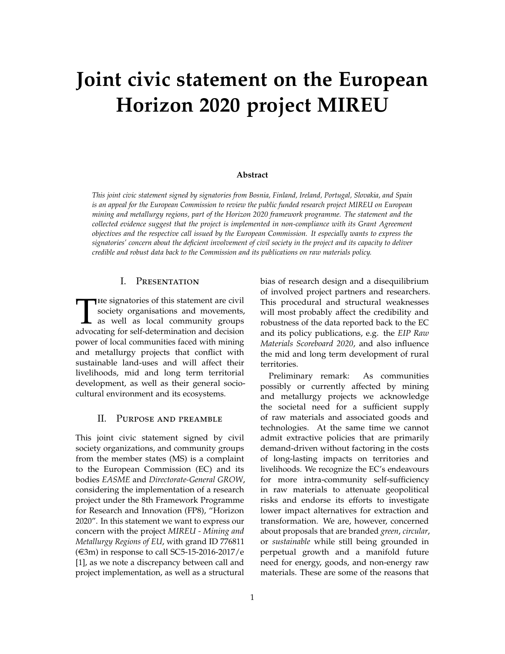# **Joint civic statement on the European Horizon 2020 project MIREU**

#### **Abstract**

*This joint civic statement signed by signatories from Bosnia, Finland, Ireland, Portugal, Slovakia, and Spain is an appeal for the European Commission to review the public funded research project MIREU on European mining and metallurgy regions, part of the Horizon 2020 framework programme. The statement and the collected evidence suggest that the project is implemented in non-compliance with its Grant Agreement objectives and the respective call issued by the European Commission. It especially wants to express the signatories' concern about the deficient involvement of civil society in the project and its capacity to deliver credible and robust data back to the Commission and its publications on raw materials policy.*

## I. Presentation

The signatories of this statement are civil<br>society organisations and movements,<br>as well as local community groups<br>advocating for self-determination and decision  $\blacksquare$  He signatories of this statement are civil society organisations and movements, as well as local community groups power of local communities faced with mining and metallurgy projects that conflict with sustainable land-uses and will affect their livelihoods, mid and long term territorial development, as well as their general sociocultural environment and its ecosystems.

## II. Purpose and preamble

This joint civic statement signed by civil society organizations, and community groups from the member states (MS) is a complaint to the European Commission (EC) and its bodies *EASME* and *Directorate-General GROW*, considering the implementation of a research project under the 8th Framework Programme for Research and Innovation (FP8), "Horizon 2020". In this statement we want to express our concern with the project *MIREU - Mining and Metallurgy Regions of EU*, with grand ID 776811  $(\text{\textless}3m)$  in response to call SC5-15-2016-2017/e [\[1\]](#page-7-0), as we note a discrepancy between call and project implementation, as well as a structural

bias of research design and a disequilibrium of involved project partners and researchers. This procedural and structural weaknesses will most probably affect the credibility and robustness of the data reported back to the EC and its policy publications, e.g. the *EIP Raw Materials Scoreboard 2020*, and also influence the mid and long term development of rural territories.

Preliminary remark: As communities possibly or currently affected by mining and metallurgy projects we acknowledge the societal need for a sufficient supply of raw materials and associated goods and technologies. At the same time we cannot admit extractive policies that are primarily demand-driven without factoring in the costs of long-lasting impacts on territories and livelihoods. We recognize the EC's endeavours for more intra-community self-sufficiency in raw materials to attenuate geopolitical risks and endorse its efforts to investigate lower impact alternatives for extraction and transformation. We are, however, concerned about proposals that are branded *green*, *circular*, or *sustainable* while still being grounded in perpetual growth and a manifold future need for energy, goods, and non-energy raw materials. These are some of the reasons that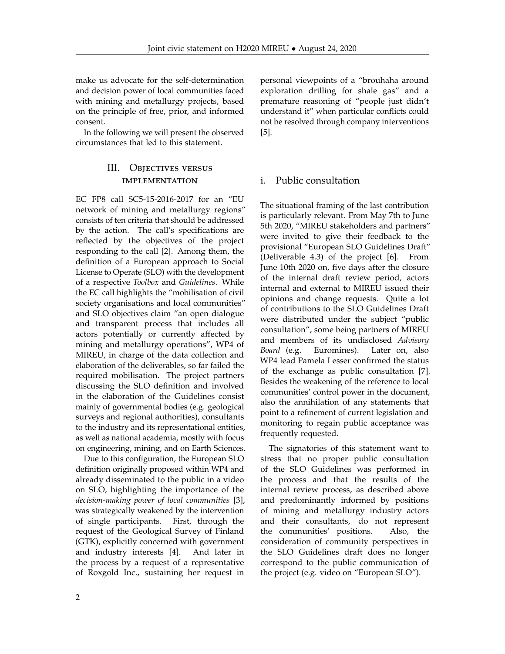make us advocate for the self-determination and decision power of local communities faced with mining and metallurgy projects, based on the principle of free, prior, and informed consent.

In the following we will present the observed circumstances that led to this statement.

# III. Objectives versus implementation

EC FP8 call SC5-15-2016-2017 for an "EU network of mining and metallurgy regions" consists of ten criteria that should be addressed by the action. The call's specifications are reflected by the objectives of the project responding to the call [\[2\]](#page-7-1). Among them, the definition of a European approach to Social License to Operate (SLO) with the development of a respective *Toolbox* and *Guidelines*. While the EC call highlights the "mobilisation of civil society organisations and local communities" and SLO objectives claim "an open dialogue and transparent process that includes all actors potentially or currently affected by mining and metallurgy operations", WP4 of MIREU, in charge of the data collection and elaboration of the deliverables, so far failed the required mobilisation. The project partners discussing the SLO definition and involved in the elaboration of the Guidelines consist mainly of governmental bodies (e.g. geological surveys and regional authorities), consultants to the industry and its representational entities, as well as national academia, mostly with focus on engineering, mining, and on Earth Sciences.

Due to this configuration, the European SLO definition originally proposed within WP4 and already disseminated to the public in a video on SLO, highlighting the importance of the *decision-making power of local communities* [\[3\]](#page-7-2), was strategically weakened by the intervention of single participants. First, through the request of the Geological Survey of Finland (GTK), explicitly concerned with government and industry interests [\[4\]](#page-7-3). And later in the process by a request of a representative of Roxgold Inc., sustaining her request in

personal viewpoints of a "brouhaha around exploration drilling for shale gas" and a premature reasoning of "people just didn't understand it" when particular conflicts could not be resolved through company interventions [\[5\]](#page-7-4).

# i. Public consultation

The situational framing of the last contribution is particularly relevant. From May 7th to June 5th 2020, "MIREU stakeholders and partners" were invited to give their feedback to the provisional "European SLO Guidelines Draft" (Deliverable 4.3) of the project [\[6\]](#page-7-5). From June 10th 2020 on, five days after the closure of the internal draft review period, actors internal and external to MIREU issued their opinions and change requests. Quite a lot of contributions to the SLO Guidelines Draft were distributed under the subject "public consultation", some being partners of MIREU and members of its undisclosed *Advisory Board* (e.g. Euromines). Later on, also WP4 lead Pamela Lesser confirmed the status of the exchange as public consultation [\[7\]](#page-7-6). Besides the weakening of the reference to local communities' control power in the document, also the annihilation of any statements that point to a refinement of current legislation and monitoring to regain public acceptance was frequently requested.

The signatories of this statement want to stress that no proper public consultation of the SLO Guidelines was performed in the process and that the results of the internal review process, as described above and predominantly informed by positions of mining and metallurgy industry actors and their consultants, do not represent the communities' positions. Also, the consideration of community perspectives in the SLO Guidelines draft does no longer correspond to the public communication of the project (e.g. video on "European SLO").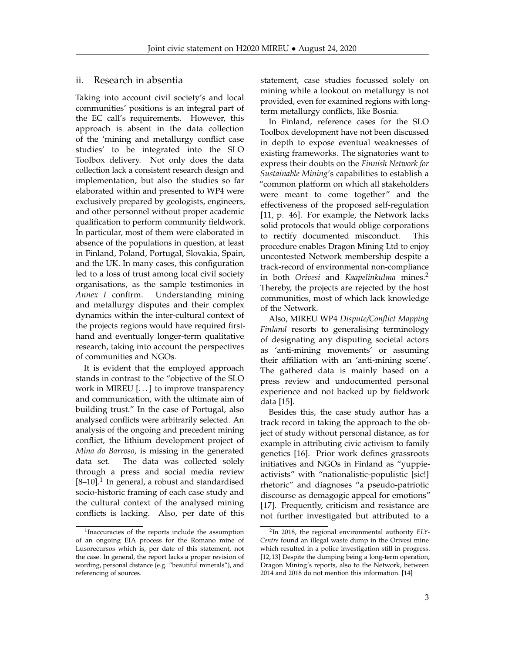#### ii. Research in absentia

Taking into account civil society's and local communities' positions is an integral part of the EC call's requirements. However, this approach is absent in the data collection of the 'mining and metallurgy conflict case studies' to be integrated into the SLO Toolbox delivery. Not only does the data collection lack a consistent research design and implementation, but also the studies so far elaborated within and presented to WP4 were exclusively prepared by geologists, engineers, and other personnel without proper academic qualification to perform community fieldwork. In particular, most of them were elaborated in absence of the populations in question, at least in Finland, Poland, Portugal, Slovakia, Spain, and the UK. In many cases, this configuration led to a loss of trust among local civil society organisations, as the sample testimonies in *Annex I* confirm. Understanding mining and metallurgy disputes and their complex dynamics within the inter-cultural context of the projects regions would have required firsthand and eventually longer-term qualitative research, taking into account the perspectives of communities and NGOs.

It is evident that the employed approach stands in contrast to the "objective of the SLO work in MIREU [...] to improve transparency and communication, with the ultimate aim of building trust." In the case of Portugal, also analysed conflicts were arbitrarily selected. An analysis of the ongoing and precedent mining conflict, the lithium development project of *Mina do Barroso*, is missing in the generated data set. The data was collected solely through a press and social media review  $[8-10].$  $[8-10].$  $[8-10].$  $[8-10].$ <sup>1</sup> In general, a robust and standardised socio-historic framing of each case study and the cultural context of the analysed mining conflicts is lacking. Also, per date of this

statement, case studies focussed solely on mining while a lookout on metallurgy is not provided, even for examined regions with longterm metallurgy conflicts, like Bosnia.

In Finland, reference cases for the SLO Toolbox development have not been discussed in depth to expose eventual weaknesses of existing frameworks. The signatories want to express their doubts on the *Finnish Network for Sustainable Mining*'s capabilities to establish a "common platform on which all stakeholders were meant to come together" and the effectiveness of the proposed self-regulation [\[11,](#page-7-9) p. 46]. For example, the Network lacks solid protocols that would oblige corporations to rectify documented misconduct. This procedure enables Dragon Mining Ltd to enjoy uncontested Network membership despite a track-record of environmental non-compliance in both *Orivesi* and *Kaapelinkulma* mines.[2](#page-2-1) Thereby, the projects are rejected by the host communities, most of which lack knowledge of the Network.

Also, MIREU WP4 *Dispute/Conflict Mapping Finland* resorts to generalising terminology of designating any disputing societal actors as 'anti-mining movements' or assuming their affiliation with an 'anti-mining scene'. The gathered data is mainly based on a press review and undocumented personal experience and not backed up by fieldwork data [\[15\]](#page-7-10).

Besides this, the case study author has a track record in taking the approach to the object of study without personal distance, as for example in attributing civic activism to family genetics [\[16\]](#page-7-11). Prior work defines grassroots initiatives and NGOs in Finland as "yuppieactivists" with "nationalistic-populistic [sic!] rhetoric" and diagnoses "a pseudo-patriotic discourse as demagogic appeal for emotions" [\[17\]](#page-7-12). Frequently, criticism and resistance are not further investigated but attributed to a

<span id="page-2-0"></span><sup>&</sup>lt;sup>1</sup> Inaccuracies of the reports include the assumption of an ongoing EIA process for the Romano mine of Lusorecursos which is, per date of this statement, not the case. In general, the report lacks a proper revision of wording, personal distance (e.g. "beautiful minerals"), and referencing of sources.

<span id="page-2-1"></span><sup>2</sup> In 2018, the regional environmental authority *ELY-Centre* found an illegal waste dump in the Orivesi mine which resulted in a police investigation still in progress. [\[12,](#page-7-13) [13\]](#page-7-14) Despite the dumping being a long-term operation, Dragon Mining's reports, also to the Network, between 2014 and 2018 do not mention this information. [\[14\]](#page-7-15)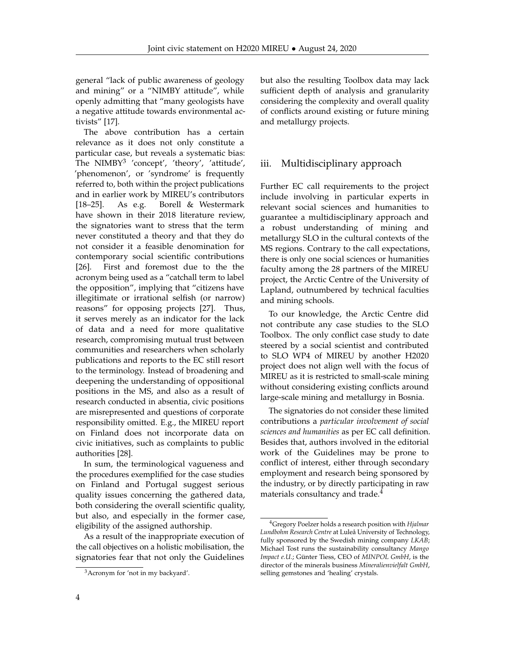general "lack of public awareness of geology and mining" or a "NIMBY attitude", while openly admitting that "many geologists have a negative attitude towards environmental activists" [\[17\]](#page-7-12).

The above contribution has a certain relevance as it does not only constitute a particular case, but reveals a systematic bias: The  $\text{NIMBY}^3$  $\text{NIMBY}^3$  'concept', 'theory', 'attitude', 'phenomenon', or 'syndrome' is frequently referred to, both within the project publications and in earlier work by MIREU's contributors [\[18](#page-8-0)[–25\]](#page-8-1). As e.g. Borell & Westermark have shown in their 2018 literature review, the signatories want to stress that the term never constituted a theory and that they do not consider it a feasible denomination for contemporary social scientific contributions [\[26\]](#page-8-2). First and foremost due to the the acronym being used as a "catchall term to label the opposition", implying that "citizens have illegitimate or irrational selfish (or narrow) reasons" for opposing projects [\[27\]](#page-8-3). Thus, it serves merely as an indicator for the lack of data and a need for more qualitative research, compromising mutual trust between communities and researchers when scholarly publications and reports to the EC still resort to the terminology. Instead of broadening and deepening the understanding of oppositional positions in the MS, and also as a result of research conducted in absentia, civic positions are misrepresented and questions of corporate responsibility omitted. E.g., the MIREU report on Finland does not incorporate data on civic initiatives, such as complaints to public authorities [\[28\]](#page-8-4).

In sum, the terminological vagueness and the procedures exemplified for the case studies on Finland and Portugal suggest serious quality issues concerning the gathered data, both considering the overall scientific quality, but also, and especially in the former case, eligibility of the assigned authorship.

As a result of the inappropriate execution of the call objectives on a holistic mobilisation, the signatories fear that not only the Guidelines

but also the resulting Toolbox data may lack sufficient depth of analysis and granularity considering the complexity and overall quality of conflicts around existing or future mining and metallurgy projects.

# iii. Multidisciplinary approach

Further EC call requirements to the project include involving in particular experts in relevant social sciences and humanities to guarantee a multidisciplinary approach and a robust understanding of mining and metallurgy SLO in the cultural contexts of the MS regions. Contrary to the call expectations, there is only one social sciences or humanities faculty among the 28 partners of the MIREU project, the Arctic Centre of the University of Lapland, outnumbered by technical faculties and mining schools.

To our knowledge, the Arctic Centre did not contribute any case studies to the SLO Toolbox. The only conflict case study to date steered by a social scientist and contributed to SLO WP4 of MIREU by another H2020 project does not align well with the focus of MIREU as it is restricted to small-scale mining without considering existing conflicts around large-scale mining and metallurgy in Bosnia.

The signatories do not consider these limited contributions a *particular involvement of social sciences and humanities* as per EC call definition. Besides that, authors involved in the editorial work of the Guidelines may be prone to conflict of interest, either through secondary employment and research being sponsored by the industry, or by directly participating in raw materials consultancy and trade.<sup>[4](#page-3-1)</sup>

<span id="page-3-0"></span><sup>3</sup>Acronym for 'not in my backyard'.

<span id="page-3-1"></span><sup>4</sup>Gregory Poelzer holds a research position with *Hjalmar Lundbohm Research Centre* at Luleå University of Technology, fully sponsored by the Swedish mining company *LKAB*; Michael Tost runs the sustainability consultancy *Mango Impact e.U.*; Günter Tiess, CEO of *MINPOL GmbH*, is the director of the minerals business *Mineralienvielfalt GmbH*, selling gemstones and 'healing' crystals.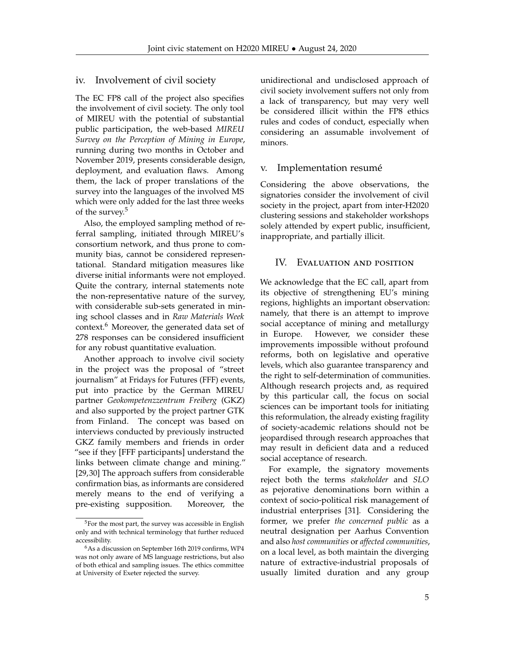#### iv. Involvement of civil society

The EC FP8 call of the project also specifies the involvement of civil society. The only tool of MIREU with the potential of substantial public participation, the web-based *MIREU Survey on the Perception of Mining in Europe*, running during two months in October and November 2019, presents considerable design, deployment, and evaluation flaws. Among them, the lack of proper translations of the survey into the languages of the involved MS which were only added for the last three weeks of the survey.[5](#page-4-0)

Also, the employed sampling method of referral sampling, initiated through MIREU's consortium network, and thus prone to community bias, cannot be considered representational. Standard mitigation measures like diverse initial informants were not employed. Quite the contrary, internal statements note the non-representative nature of the survey, with considerable sub-sets generated in mining school classes and in *Raw Materials Week* context.<sup>[6](#page-4-1)</sup> Moreover, the generated data set of 278 responses can be considered insufficient for any robust quantitative evaluation.

Another approach to involve civil society in the project was the proposal of "street journalism" at Fridays for Futures (FFF) events, put into practice by the German MIREU partner *Geokompetenzzentrum Freiberg* (GKZ) and also supported by the project partner GTK from Finland. The concept was based on interviews conducted by previously instructed GKZ family members and friends in order "see if they [FFF participants] understand the links between climate change and mining." [\[29,](#page-8-5)[30\]](#page-8-6) The approach suffers from considerable confirmation bias, as informants are considered merely means to the end of verifying a pre-existing supposition. Moreover, the unidirectional and undisclosed approach of civil society involvement suffers not only from a lack of transparency, but may very well be considered illicit within the FP8 ethics rules and codes of conduct, especially when considering an assumable involvement of minors.

#### v. Implementation resumé

Considering the above observations, the signatories consider the involvement of civil society in the project, apart from inter-H2020 clustering sessions and stakeholder workshops solely attended by expert public, insufficient, inappropriate, and partially illicit.

#### IV. Evaluation and position

We acknowledge that the EC call, apart from its objective of strengthening EU's mining regions, highlights an important observation: namely, that there is an attempt to improve social acceptance of mining and metallurgy in Europe. However, we consider these improvements impossible without profound reforms, both on legislative and operative levels, which also guarantee transparency and the right to self-determination of communities. Although research projects and, as required by this particular call, the focus on social sciences can be important tools for initiating this reformulation, the already existing fragility of society-academic relations should not be jeopardised through research approaches that may result in deficient data and a reduced social acceptance of research.

For example, the signatory movements reject both the terms *stakeholder* and *SLO* as pejorative denominations born within a context of socio-political risk management of industrial enterprises [\[31\]](#page-8-7). Considering the former, we prefer *the concerned public* as a neutral designation per Aarhus Convention and also *host communities* or *affected communities*, on a local level, as both maintain the diverging nature of extractive-industrial proposals of usually limited duration and any group

<span id="page-4-0"></span><sup>&</sup>lt;sup>5</sup>For the most part, the survey was accessible in English only and with technical terminology that further reduced accessibility.

<span id="page-4-1"></span><sup>6</sup>As a discussion on September 16th 2019 confirms, WP4 was not only aware of MS language restrictions, but also of both ethical and sampling issues. The ethics committee at University of Exeter rejected the survey.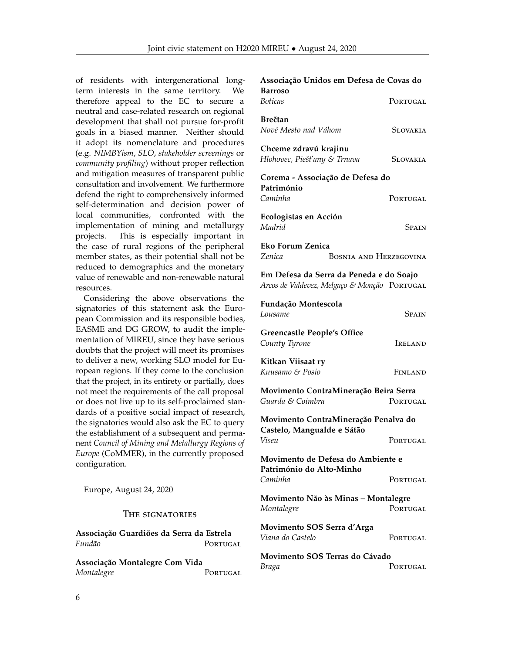of residents with intergenerational longterm interests in the same territory. We therefore appeal to the EC to secure a neutral and case-related research on regional development that shall not pursue for-profit goals in a biased manner. Neither should it adopt its nomenclature and procedures (e.g. *NIMBYism*, *SLO*, *stakeholder screenings* or *community profiling*) without proper reflection and mitigation measures of transparent public consultation and involvement. We furthermore defend the right to comprehensively informed self-determination and decision power of local communities, confronted with the implementation of mining and metallurgy projects. This is especially important in the case of rural regions of the peripheral member states, as their potential shall not be reduced to demographics and the monetary value of renewable and non-renewable natural resources.

Considering the above observations the signatories of this statement ask the European Commission and its responsible bodies, EASME and DG GROW, to audit the implementation of MIREU, since they have serious doubts that the project will meet its promises to deliver a new, working SLO model for European regions. If they come to the conclusion that the project, in its entirety or partially, does not meet the requirements of the call proposal or does not live up to its self-proclaimed standards of a positive social impact of research, the signatories would also ask the EC to query the establishment of a subsequent and permanent *Council of Mining and Metallurgy Regions of Europe* (CoMMER), in the currently proposed configuration.

Europe, August 24, 2020

#### The signatories

**Associação Guardiões da Serra da Estrela** *Fundão* Portugal

**Associação Montalegre Com Vida** *Montalegre* PORTUGAL

| Associação Unidos em Defesa de Covas do                                                 |                               |                 |  |
|-----------------------------------------------------------------------------------------|-------------------------------|-----------------|--|
| <b>Barroso</b><br><b>Boticas</b>                                                        |                               | PORTUGAL        |  |
| <b>Brečtan</b><br>Nové Mesto nad Váhom                                                  |                               | Slovakia        |  |
| Chceme zdravú krajinu<br>Hlohovec, Piešťany & Trnava                                    |                               | <b>SLOVAKIA</b> |  |
| Corema - Associação de Defesa do                                                        |                               |                 |  |
| Património<br>Caminha                                                                   |                               | PORTUGAL        |  |
| Ecologistas en Acción<br>Madrid                                                         |                               | Spain           |  |
| Eko Forum Zenica<br>Zenica                                                              | <b>BOSNIA AND HERZEGOVINA</b> |                 |  |
| Em Defesa da Serra da Peneda e do Soajo<br>Arcos de Valdevez, Melgaço & Monção PORTUGAL |                               |                 |  |
| Fundação Montescola<br>Lousame                                                          |                               | Spain           |  |
| <b>Greencastle People's Office</b><br>County Tyrone                                     |                               | IRELAND         |  |
| Kitkan Viisaat ry<br>Kuusamo & Posio                                                    |                               | FINLAND         |  |
| Movimento ContraMineração Beira Serra<br>Guarda & Coimbra                               |                               | <b>PORTUGAL</b> |  |
| Movimento ContraMineração Penalva do                                                    |                               |                 |  |
| Castelo, Mangualde e Sátão<br>Viseu                                                     |                               | PORTUGAL        |  |
| Movimento de Defesa do Ambiente e<br>Património do Alto-Minho                           |                               |                 |  |
| Caminha                                                                                 |                               | PORTUGAL        |  |
| Movimento Não às Minas - Montalegre<br>Montalegre                                       |                               | PORTUGAL        |  |
| Movimento SOS Serra d'Arga<br>Viana do Castelo                                          |                               | PORTUGAL        |  |
| Movimento SOS Terras do Cávado<br>Braga                                                 |                               | PORTUGAL        |  |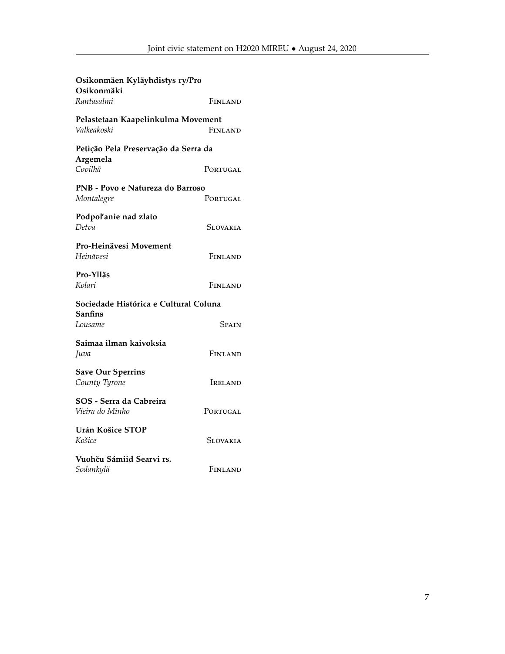| Osikonmäen Kyläyhdistys ry/Pro<br>Osikonmäki      |          |  |
|---------------------------------------------------|----------|--|
| Rantasalmi                                        | FINLAND  |  |
| Pelastetaan Kaapelinkulma Movement<br>Valkeakoski | FINLAND  |  |
| Petição Pela Preservação da Serra da<br>Argemela  |          |  |
| Covilhã                                           | PORTUGAL |  |
| PNB - Povo e Natureza do Barroso<br>Montalegre    | PORTUGAL |  |
|                                                   |          |  |
| Podpol'anie nad zlato<br>Detva                    | Slovakia |  |
| Pro-Heinävesi Movement<br>Heinävesi               | FINLAND  |  |
| Pro-Ylläs<br>Kolari                               | FINLAND  |  |
| Sociedade Histórica e Cultural Coluna<br>Sanfins  |          |  |
| Lousame                                           | Spain    |  |
| Saimaa ilman kaivoksia<br>Juva                    | FINLAND  |  |
| <b>Save Our Sperrins</b><br>County Tyrone         | IRELAND  |  |
| SOS - Serra da Cabreira<br>Vieira do Minho        | PORTUGAL |  |
| Urán Košice STOP<br>Košice                        | Slovakia |  |
| Vuohču Sámiid Searvi rs.<br>Sodankylä             | Finland  |  |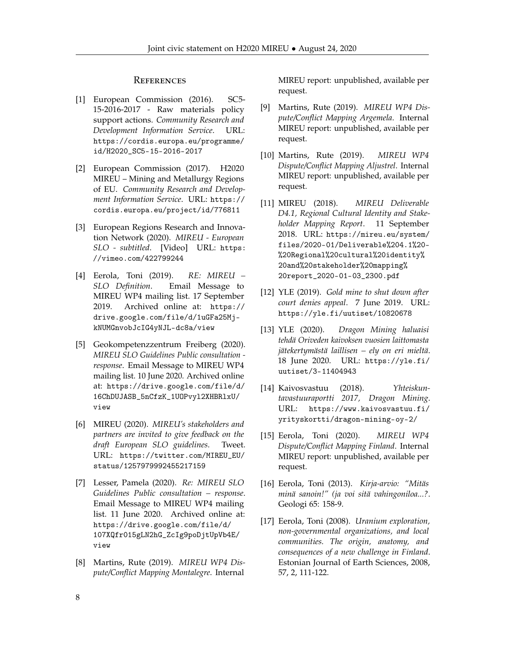#### **REFERENCES**

- <span id="page-7-0"></span>[1] European Commission (2016). SC5- 15-2016-2017 - Raw materials policy support actions. *Community Research and Development Information Service*. URL: [https://cordis.europa.eu/programme/](https://cordis.europa.eu/programme/id/H2020_SC5-15-2016-2017) [id/H2020\\_SC5-15-2016-2017](https://cordis.europa.eu/programme/id/H2020_SC5-15-2016-2017)
- <span id="page-7-1"></span>[2] European Commission (2017). H2020 MIREU – Mining and Metallurgy Regions of EU. *Community Research and Development Information Service*. URL: [https://](https://cordis.europa.eu/project/id/776811) [cordis.europa.eu/project/id/776811](https://cordis.europa.eu/project/id/776811)
- <span id="page-7-2"></span>[3] European Regions Research and Innovation Network (2020). *MIREU - European SLO - subtitled*. [Video] URL: [https:](https://vimeo.com/422799244) [//vimeo.com/422799244](https://vimeo.com/422799244)
- <span id="page-7-3"></span>[4] Eerola, Toni (2019). *RE: MIREU – SLO Definition*. Email Message to MIREU WP4 mailing list. 17 September 2019. Archived online at: [https://](https://drive.google.com/file/d/1uGFa25Mj-kNUMGnvobJcIG4yNJL-dc8a/view) [drive.google.com/file/d/1uGFa25Mj](https://drive.google.com/file/d/1uGFa25Mj-kNUMGnvobJcIG4yNJL-dc8a/view)[kNUMGnvobJcIG4yNJL-dc8a/view](https://drive.google.com/file/d/1uGFa25Mj-kNUMGnvobJcIG4yNJL-dc8a/view)
- <span id="page-7-4"></span>[5] Geokompetenzzentrum Freiberg (2020). *MIREU SLO Guidelines Public consultation response*. Email Message to MIREU WP4 mailing list. 10 June 2020. Archived online at: [https://drive.google.com/file/d/](https://drive.google.com/file/d/16ChDUJASB_5nCfzK_1UOPvyl2XHBRlxU/view) [16ChDUJASB\\_5nCfzK\\_1UOPvyl2XHBRlxU/](https://drive.google.com/file/d/16ChDUJASB_5nCfzK_1UOPvyl2XHBRlxU/view) [view](https://drive.google.com/file/d/16ChDUJASB_5nCfzK_1UOPvyl2XHBRlxU/view)
- <span id="page-7-5"></span>[6] MIREU (2020). *MIREU's stakeholders and partners are invited to give feedback on the draft European SLO guidelines*. Tweet. URL: [https://twitter.com/MIREU\\_EU/](https://twitter.com/MIREU_EU/status/1257979992455217159) [status/1257979992455217159](https://twitter.com/MIREU_EU/status/1257979992455217159)
- <span id="page-7-6"></span>[7] Lesser, Pamela (2020). *Re: MIREU SLO Guidelines Public consultation – response*. Email Message to MIREU WP4 mailing list. 11 June 2020. Archived online at: [https://drive.google.com/file/d/](https://drive.google.com/file/d/107XQfr015gLN2hG_ZcIg9poDjtUpVb4E/view) [107XQfr015gLN2hG\\_ZcIg9poDjtUpVb4E/](https://drive.google.com/file/d/107XQfr015gLN2hG_ZcIg9poDjtUpVb4E/view) [view](https://drive.google.com/file/d/107XQfr015gLN2hG_ZcIg9poDjtUpVb4E/view)
- <span id="page-7-7"></span>[8] Martins, Rute (2019). *MIREU WP4 Dispute/Conflict Mapping Montalegre*. Internal

MIREU report: unpublished, available per request.

- [9] Martins, Rute (2019). *MIREU WP4 Dispute/Conflict Mapping Argemela*. Internal MIREU report: unpublished, available per request.
- <span id="page-7-8"></span>[10] Martins, Rute (2019). *MIREU WP4 Dispute/Conflict Mapping Aljustrel*. Internal MIREU report: unpublished, available per request.
- <span id="page-7-9"></span>[11] MIREU (2018). *MIREU Deliverable D4.1, Regional Cultural Identity and Stakeholder Mapping Report*. 11 September 2018. URL: [https://mireu.eu/system/](https://mireu.eu/system/files/2020-01/Deliverable%204.1%20-%20Regional%20cultural%20identity%20and%20stakeholder%20mapping%20report_2020-01-03_2300.pdf) [files/2020-01/Deliverable%204.1%20-](https://mireu.eu/system/files/2020-01/Deliverable%204.1%20-%20Regional%20cultural%20identity%20and%20stakeholder%20mapping%20report_2020-01-03_2300.pdf) [%20Regional%20cultural%20identity%](https://mireu.eu/system/files/2020-01/Deliverable%204.1%20-%20Regional%20cultural%20identity%20and%20stakeholder%20mapping%20report_2020-01-03_2300.pdf) [20and%20stakeholder%20mapping%](https://mireu.eu/system/files/2020-01/Deliverable%204.1%20-%20Regional%20cultural%20identity%20and%20stakeholder%20mapping%20report_2020-01-03_2300.pdf) [20report\\_2020-01-03\\_2300.pdf](https://mireu.eu/system/files/2020-01/Deliverable%204.1%20-%20Regional%20cultural%20identity%20and%20stakeholder%20mapping%20report_2020-01-03_2300.pdf)
- <span id="page-7-13"></span>[12] YLE (2019). *Gold mine to shut down after court denies appeal*. 7 June 2019. URL: <https://yle.fi/uutiset/10820678>
- <span id="page-7-14"></span>[13] YLE (2020). *Dragon Mining haluaisi tehdä Oriveden kaivoksen vuosien laittomasta jätekertymästä laillisen – ely on eri mieltä*. 18 June 2020. URL: [https://yle.fi/](https://yle.fi/uutiset/3-11404943) [uutiset/3-11404943](https://yle.fi/uutiset/3-11404943)
- <span id="page-7-15"></span>[14] Kaivosvastuu (2018). *Yhteiskuntavastuuraportti 2017, Dragon Mining*. URL: [https://www.kaivosvastuu.fi/](https://www.kaivosvastuu.fi/yrityskortti/dragon-mining-oy-2/) [yrityskortti/dragon-mining-oy-2/](https://www.kaivosvastuu.fi/yrityskortti/dragon-mining-oy-2/)
- <span id="page-7-10"></span>[15] Eerola, Toni (2020). *MIREU WP4 Dispute/Conflict Mapping Finland*. Internal MIREU report: unpublished, available per request.
- <span id="page-7-11"></span>[16] Eerola, Toni (2013). *Kirja-arvio: "Mitäs minä sanoin!" (ja voi sitä vahingoniloa...?*. Geologi 65: 158-9.
- <span id="page-7-12"></span>[17] Eerola, Toni (2008). *Uranium exploration, non-governmental organizations, and local communities. The origin, anatomy, and consequences of a new challenge in Finland*. Estonian Journal of Earth Sciences, 2008, 57, 2, 111-122.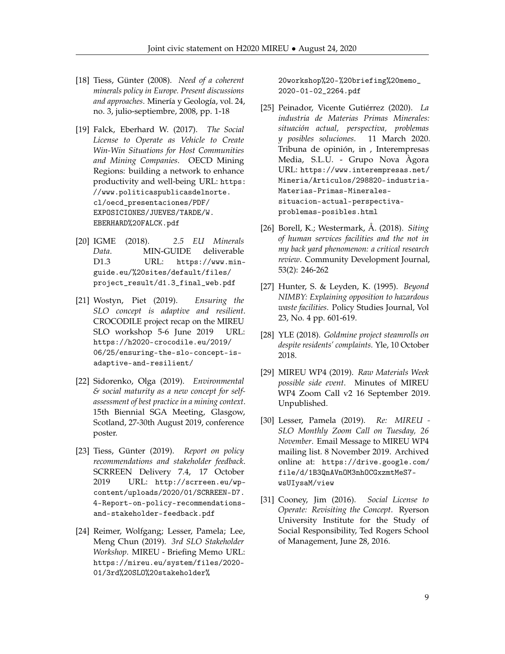- <span id="page-8-0"></span>[18] Tiess, Günter (2008). *Need of a coherent minerals policy in Europe. Present discussions and approaches*. Minería y Geología, vol. 24, no. 3, julio-septiembre, 2008, pp. 1-18
- [19] Falck, Eberhard W. (2017). *The Social License to Operate as Vehicle to Create Win-Win Situations for Host Communities and Mining Companies*. OECD Mining Regions: building a network to enhance productivity and well-being URL: [https:](https://www.politicaspublicasdelnorte.cl/oecd_presentaciones/PDF/EXPOSICIONES/JUEVES/TARDE/W.EBERHARD%20FALCK.pdf) [//www.politicaspublicasdelnorte.](https://www.politicaspublicasdelnorte.cl/oecd_presentaciones/PDF/EXPOSICIONES/JUEVES/TARDE/W.EBERHARD%20FALCK.pdf) [cl/oecd\\_presentaciones/PDF/](https://www.politicaspublicasdelnorte.cl/oecd_presentaciones/PDF/EXPOSICIONES/JUEVES/TARDE/W.EBERHARD%20FALCK.pdf) [EXPOSICIONES/JUEVES/TARDE/W.](https://www.politicaspublicasdelnorte.cl/oecd_presentaciones/PDF/EXPOSICIONES/JUEVES/TARDE/W.EBERHARD%20FALCK.pdf) [EBERHARD%20FALCK.pdf](https://www.politicaspublicasdelnorte.cl/oecd_presentaciones/PDF/EXPOSICIONES/JUEVES/TARDE/W.EBERHARD%20FALCK.pdf)
- [20] IGME (2018). *2.5 EU Minerals Data*. MIN-GUIDE deliverable D1.3 URL: [https://www.min](https://www.min-guide.eu/%20sites/default/files/project_result/d1.3_final_web.pdf)[guide.eu/%20sites/default/files/](https://www.min-guide.eu/%20sites/default/files/project_result/d1.3_final_web.pdf) [project\\_result/d1.3\\_final\\_web.pdf](https://www.min-guide.eu/%20sites/default/files/project_result/d1.3_final_web.pdf)
- [21] Wostyn, Piet (2019). *Ensuring the SLO concept is adaptive and resilient*. CROCODILE project recap on the MIREU SLO workshop 5-6 June 2019 URL: [https://h2020-crocodile.eu/2019/](https://h2020-crocodile.eu/2019/06/25/ensuring-the-slo-concept-is-adaptive-and-resilient/) [06/25/ensuring-the-slo-concept-is](https://h2020-crocodile.eu/2019/06/25/ensuring-the-slo-concept-is-adaptive-and-resilient/)[adaptive-and-resilient/](https://h2020-crocodile.eu/2019/06/25/ensuring-the-slo-concept-is-adaptive-and-resilient/)
- [22] Sidorenko, Olga (2019). *Environmental & social maturity as a new concept for selfassessment of best practice in a mining context*. 15th Biennial SGA Meeting, Glasgow, Scotland, 27-30th August 2019, conference poster.
- [23] Tiess, Günter (2019). *Report on policy recommendations and stakeholder feedback*. SCRREEN Delivery 7.4, 17 October 2019 URL: [http://scrreen.eu/wp](http://scrreen.eu/wp-content/uploads/2020/01/SCRREEN-D7.4-Report-on-policy-recommendations-and-stakeholder-feedback.pdf)[content/uploads/2020/01/SCRREEN-D7.](http://scrreen.eu/wp-content/uploads/2020/01/SCRREEN-D7.4-Report-on-policy-recommendations-and-stakeholder-feedback.pdf) [4-Report-on-policy-recommendations](http://scrreen.eu/wp-content/uploads/2020/01/SCRREEN-D7.4-Report-on-policy-recommendations-and-stakeholder-feedback.pdf)[and-stakeholder-feedback.pdf](http://scrreen.eu/wp-content/uploads/2020/01/SCRREEN-D7.4-Report-on-policy-recommendations-and-stakeholder-feedback.pdf)
- [24] Reimer, Wolfgang; Lesser, Pamela; Lee, Meng Chun (2019). *3rd SLO Stakeholder Workshop*. MIREU - Briefing Memo URL: [https://mireu.eu/system/files/2020-](https://mireu.eu/system/files/2020-01/3rd%20SLO%20stakeholder%20workshop%20-%20briefing%20memo_2020-01-02_2264.pdf) [01/3rd%20SLO%20stakeholder%](https://mireu.eu/system/files/2020-01/3rd%20SLO%20stakeholder%20workshop%20-%20briefing%20memo_2020-01-02_2264.pdf)

[20workshop%20-%20briefing%20memo\\_](https://mireu.eu/system/files/2020-01/3rd%20SLO%20stakeholder%20workshop%20-%20briefing%20memo_2020-01-02_2264.pdf) [2020-01-02\\_2264.pdf](https://mireu.eu/system/files/2020-01/3rd%20SLO%20stakeholder%20workshop%20-%20briefing%20memo_2020-01-02_2264.pdf)

- <span id="page-8-1"></span>[25] Peinador, Vicente Gutiérrez (2020). *La industria de Materias Primas Minerales: situación actual, perspectiva, problemas y posibles soluciones*. 11 March 2020. Tribuna de opinión, in , Interempresas Media, S.L.U. - Grupo Nova Àgora URL: [https://www.interempresas.net/](https://www.interempresas.net/Mineria/Articulos/298820-industria-Materias-Primas-Minerales-situacion-actual-perspectiva-problemas-posibles.html) [Mineria/Articulos/298820-industria-](https://www.interempresas.net/Mineria/Articulos/298820-industria-Materias-Primas-Minerales-situacion-actual-perspectiva-problemas-posibles.html)[Materias-Primas-Minerales](https://www.interempresas.net/Mineria/Articulos/298820-industria-Materias-Primas-Minerales-situacion-actual-perspectiva-problemas-posibles.html)[situacion-actual-perspectiva](https://www.interempresas.net/Mineria/Articulos/298820-industria-Materias-Primas-Minerales-situacion-actual-perspectiva-problemas-posibles.html)[problemas-posibles.html](https://www.interempresas.net/Mineria/Articulos/298820-industria-Materias-Primas-Minerales-situacion-actual-perspectiva-problemas-posibles.html)
- <span id="page-8-2"></span>[26] Borell, K.; Westermark, Å. (2018). *Siting of human services facilities and the not in my back yard phenomenon: a critical research review*. Community Development Journal, 53(2): 246-262
- <span id="page-8-3"></span>[27] Hunter, S. & Leyden, K. (1995). *Beyond NIMBY: Explaining opposition to hazardous waste facilities*. Policy Studies Journal, Vol 23, No. 4 pp. 601-619.
- <span id="page-8-4"></span>[28] YLE (2018). *Goldmine project steamrolls on despite residents' complaints*. Yle, 10 October 2018.
- <span id="page-8-5"></span>[29] MIREU WP4 (2019). *Raw Materials Week possible side event*. Minutes of MIREU WP4 Zoom Call v2 16 September 2019. Unpublished.
- <span id="page-8-6"></span>[30] Lesser, Pamela (2019). *Re: MIREU - SLO Monthly Zoom Call on Tuesday, 26 November*. Email Message to MIREU WP4 mailing list. 8 November 2019. Archived online at: [https://drive.google.com/](https://drive.google.com/file/d/1B3QnAVnOM3nhOCGxzmtMeS7-wsUIysaM/view) [file/d/1B3QnAVnOM3nhOCGxzmtMeS7](https://drive.google.com/file/d/1B3QnAVnOM3nhOCGxzmtMeS7-wsUIysaM/view) [wsUIysaM/view](https://drive.google.com/file/d/1B3QnAVnOM3nhOCGxzmtMeS7-wsUIysaM/view)
- <span id="page-8-7"></span>[31] Cooney, Jim (2016). *Social License to Operate: Revisiting the Concept*. Ryerson University Institute for the Study of Social Responsibility, Ted Rogers School of Management, June 28, 2016.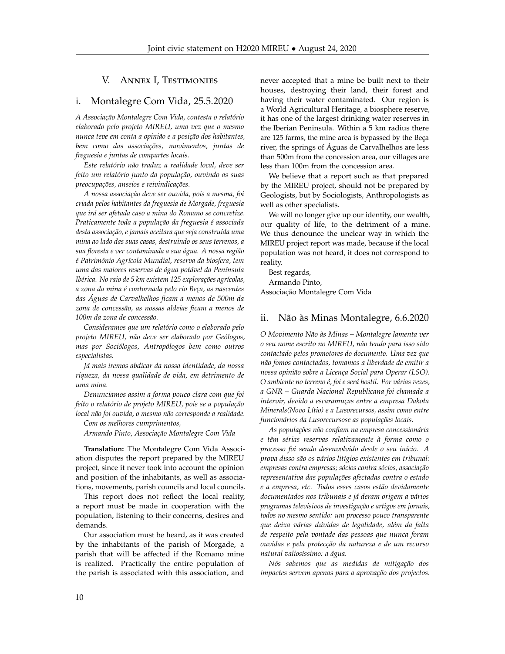## V. Annex I, Testimonies

## i. Montalegre Com Vida, 25.5.2020

*A Associação Montalegre Com Vida, contesta o relatório elaborado pelo projeto MIREU, uma vez que o mesmo nunca teve em conta a opinião e a posição dos habitantes, bem como das associações, movimentos, juntas de freguesia e juntas de compartes locais.*

*Este relatório não traduz a realidade local, deve ser feito um relatório junto da população, ouvindo as suas preocupações, anseios e reivindicações.*

*A nossa associação deve ser ouvida, pois a mesma, foi criada pelos habitantes da freguesia de Morgade, freguesia que irá ser afetada caso a mina do Romano se concretize. Praticamente toda a população da freguesia é associada desta associação, e jamais aceitara que seja construída uma mina ao lado das suas casas, destruindo os seus terrenos, a sua floresta e ver contaminada a sua água. A nossa região é Património Agrícola Mundial, reserva da biosfera, tem uma das maiores reservas de água potável da Península Ibérica. No raio de 5 km existem 125 explorações agrícolas, a zona da mina é contornada pelo rio Beça, as nascentes das Águas de Carvalhelhos ficam a menos de 500m da zona de concessão, as nossas aldeias ficam a menos de 100m da zona de concessão.*

*Consideramos que um relatório como o elaborado pelo projeto MIREU, não deve ser elaborado por Geólogos, mas por Sociólogos, Antropólogos bem como outros especialistas.*

*Já mais iremos abdicar da nossa identidade, da nossa riqueza, da nossa qualidade de vida, em detrimento de uma mina.*

*Denunciamos assim a forma pouco clara com que foi feito o relatório de projeto MIREU, pois se a população local não foi ouvida, o mesmo não corresponde a realidade.*

*Com os melhores cumprimentos,*

*Armando Pinto, Associação Montalegre Com Vida*

**Translation:** The Montalegre Com Vida Association disputes the report prepared by the MIREU project, since it never took into account the opinion and position of the inhabitants, as well as associations, movements, parish councils and local councils.

This report does not reflect the local reality, a report must be made in cooperation with the population, listening to their concerns, desires and demands.

Our association must be heard, as it was created by the inhabitants of the parish of Morgade, a parish that will be affected if the Romano mine is realized. Practically the entire population of the parish is associated with this association, and

never accepted that a mine be built next to their houses, destroying their land, their forest and having their water contaminated. Our region is a World Agricultural Heritage, a biosphere reserve, it has one of the largest drinking water reserves in the Iberian Peninsula. Within a 5 km radius there are 125 farms, the mine area is bypassed by the Beça river, the springs of Águas de Carvalhelhos are less than 500m from the concession area, our villages are less than 100m from the concession area.

We believe that a report such as that prepared by the MIREU project, should not be prepared by Geologists, but by Sociologists, Anthropologists as well as other specialists.

We will no longer give up our identity, our wealth, our quality of life, to the detriment of a mine. We thus denounce the unclear way in which the MIREU project report was made, because if the local population was not heard, it does not correspond to reality.

Best regards, Armando Pinto, Associação Montalegre Com Vida

## ii. Não às Minas Montalegre, 6.6.2020

*O Movimento Não às Minas – Montalegre lamenta ver o seu nome escrito no MIREU, não tendo para isso sido contactado pelos promotores do documento. Uma vez que não fomos contactados, tomamos a liberdade de emitir a nossa opinião sobre a Licença Social para Operar (LSO). O ambiente no terreno é, foi e será hostil. Por várias vezes, a GNR – Guarda Nacional Republicana foi chamada a intervir, devido a escaramuças entre a empresa Dakota Minerals(Novo Lítio) e a Lusorecursos, assim como entre funcionários da Lusorecursose as populações locais.*

*As populações não confiam na empresa concessionária e têm sérias reservas relativamente à forma como o processo foi sendo desenvolvido desde o seu início. A prova disso são os vários litígios existentes em tribunal: empresas contra empresas; sócios contra sócios, associação representativa das populações afectadas contra o estado e a empresa, etc. Todos esses casos estão devidamente documentados nos tribunais e já deram origem a vários programas televisivos de investigação e artigos em jornais, todos no mesmo sentido: um processo pouco transparente que deixa várias dúvidas de legalidade, além da falta de respeito pela vontade das pessoas que nunca foram ouvidas e pela protecção da natureza e de um recurso natural valiosíssimo: a água.*

*Nós sabemos que as medidas de mitigação dos impactes servem apenas para a aprovação dos projectos.*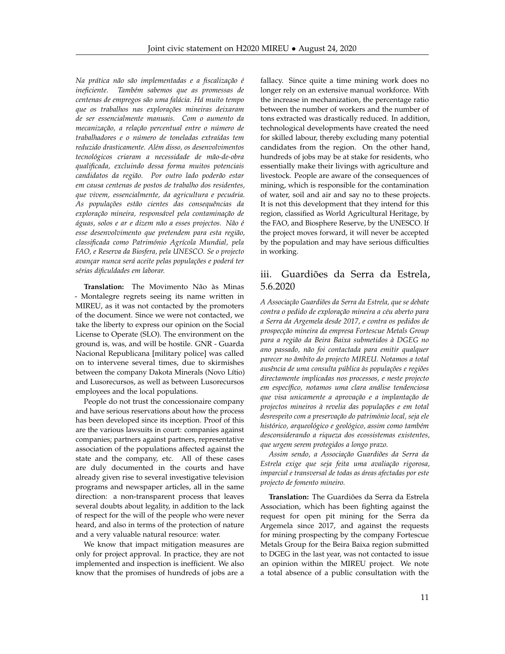*Na prática não são implementadas e a fiscalização é ineficiente. Também sabemos que as promessas de centenas de empregos são uma falácia. Há muito tempo que os trabalhos nas explorações mineiras deixaram de ser essencialmente manuais. Com o aumento da mecanização, a relação percentual entre o número de trabalhadores e o número de toneladas extraídas tem reduzido drasticamente. Além disso, os desenvolvimentos tecnológicos criaram a necessidade de mão-de-obra qualificada, excluindo dessa forma muitos potenciais candidatos da região. Por outro lado poderão estar em causa centenas de postos de trabalho dos residentes, que vivem, essencialmente, da agricultura e pecuária. As populações estão cientes das consequências da exploração mineira, responsável pela contaminação de águas, solos e ar e dizem não a esses projectos. Não é esse desenvolvimento que pretendem para esta região, classificada como Património Agrícola Mundial, pela FAO, e Reserva da Biosfera, pela UNESCO. Se o projecto avançar nunca será aceite pelas populações e poderá ter sérias dificuldades em laborar.*

**Translation:** The Movimento Não às Minas - Montalegre regrets seeing its name written in MIREU, as it was not contacted by the promoters of the document. Since we were not contacted, we take the liberty to express our opinion on the Social License to Operate (SLO). The environment on the ground is, was, and will be hostile. GNR - Guarda Nacional Republicana [military police] was called on to intervene several times, due to skirmishes between the company Dakota Minerals (Novo Lítio) and Lusorecursos, as well as between Lusorecursos employees and the local populations.

People do not trust the concessionaire company and have serious reservations about how the process has been developed since its inception. Proof of this are the various lawsuits in court: companies against companies; partners against partners, representative association of the populations affected against the state and the company, etc. All of these cases are duly documented in the courts and have already given rise to several investigative television programs and newspaper articles, all in the same direction: a non-transparent process that leaves several doubts about legality, in addition to the lack of respect for the will of the people who were never heard, and also in terms of the protection of nature and a very valuable natural resource: water.

We know that impact mitigation measures are only for project approval. In practice, they are not implemented and inspection is inefficient. We also know that the promises of hundreds of jobs are a fallacy. Since quite a time mining work does no longer rely on an extensive manual workforce. With the increase in mechanization, the percentage ratio between the number of workers and the number of tons extracted was drastically reduced. In addition, technological developments have created the need for skilled labour, thereby excluding many potential candidates from the region. On the other hand, hundreds of jobs may be at stake for residents, who essentially make their livings with agriculture and livestock. People are aware of the consequences of mining, which is responsible for the contamination of water, soil and air and say no to these projects. It is not this development that they intend for this region, classified as World Agricultural Heritage, by the FAO, and Biosphere Reserve, by the UNESCO. If the project moves forward, it will never be accepted by the population and may have serious difficulties in working.

# iii. Guardiões da Serra da Estrela, 5.6.2020

*A Associação Guardiões da Serra da Estrela, que se debate contra o pedido de exploração mineira a céu aberto para a Serra da Argemela desde 2017, e contra os pedidos de prospecção mineira da empresa Fortescue Metals Group para a região da Beira Baixa submetidos à DGEG no ano passado, não foi contactada para emitir qualquer parecer no âmbito do projecto MIREU. Notamos a total ausência de uma consulta pública às populações e regiões directamente implicadas nos processos, e neste projecto em específico, notamos uma clara análise tendenciosa que visa unicamente a aprovação e a implantação de projectos mineiros à revelia das populações e em total desrespeito com a preservação do património local, seja ele histórico, arqueológico e geológico, assim como também desconsiderando a riqueza dos ecossistemas existentes, que urgem serem protegidos a longo prazo.*

*Assim sendo, a Associação Guardiões da Serra da Estrela exige que seja feita uma avaliação rigorosa, imparcial e transversal de todas as áreas afectadas por este projecto de fomento mineiro.*

**Translation:** The Guardiões da Serra da Estrela Association, which has been fighting against the request for open pit mining for the Serra da Argemela since 2017, and against the requests for mining prospecting by the company Fortescue Metals Group for the Beira Baixa region submitted to DGEG in the last year, was not contacted to issue an opinion within the MIREU project. We note a total absence of a public consultation with the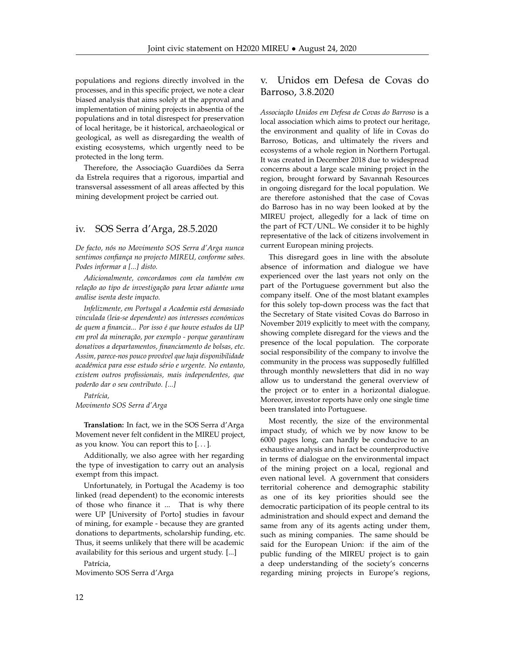populations and regions directly involved in the processes, and in this specific project, we note a clear biased analysis that aims solely at the approval and implementation of mining projects in absentia of the populations and in total disrespect for preservation of local heritage, be it historical, archaeological or geological, as well as disregarding the wealth of existing ecosystems, which urgently need to be protected in the long term.

Therefore, the Associação Guardiões da Serra da Estrela requires that a rigorous, impartial and transversal assessment of all areas affected by this mining development project be carried out.

## iv. SOS Serra d'Arga, 28.5.2020

*De facto, nós no Movimento SOS Serra d'Arga nunca sentimos confiança no projecto MIREU, conforme sabes. Podes informar a [...] disto.*

*Adicionalmente, concordamos com ela também em relação ao tipo de investigação para levar adiante uma análise isenta deste impacto.*

*Infelizmente, em Portugal a Academia está demasiado vinculada (leia-se dependente) aos interesses económicos de quem a financia... Por isso é que houve estudos da UP em prol da mineração, por exemplo - porque garantiram donativos a departamentos, financiamento de bolsas, etc. Assim, parece-nos pouco provável que haja disponibilidade académica para esse estudo sério e urgente. No entanto, existem outros profissionais, mais independentes, que poderão dar o seu contributo. [...]*

*Patrícia, Movimento SOS Serra d'Arga*

**Translation:** In fact, we in the SOS Serra d'Arga Movement never felt confident in the MIREU project, as you know. You can report this to [. . . ].

Additionally, we also agree with her regarding the type of investigation to carry out an analysis exempt from this impact.

Unfortunately, in Portugal the Academy is too linked (read dependent) to the economic interests of those who finance it ... That is why there were UP [University of Porto] studies in favour of mining, for example - because they are granted donations to departments, scholarship funding, etc. Thus, it seems unlikely that there will be academic availability for this serious and urgent study. [...]

Patrícia, Movimento SOS Serra d'Arga

# v. Unidos em Defesa de Covas do Barroso, 3.8.2020

*Associação Unidos em Defesa de Covas do Barroso* is a local association which aims to protect our heritage, the environment and quality of life in Covas do Barroso, Boticas, and ultimately the rivers and ecosystems of a whole region in Northern Portugal. It was created in December 2018 due to widespread concerns about a large scale mining project in the region, brought forward by Savannah Resources in ongoing disregard for the local population. We are therefore astonished that the case of Covas do Barroso has in no way been looked at by the MIREU project, allegedly for a lack of time on the part of FCT/UNL. We consider it to be highly representative of the lack of citizens involvement in current European mining projects.

This disregard goes in line with the absolute absence of information and dialogue we have experienced over the last years not only on the part of the Portuguese government but also the company itself. One of the most blatant examples for this solely top-down process was the fact that the Secretary of State visited Covas do Barroso in November 2019 explicitly to meet with the company, showing complete disregard for the views and the presence of the local population. The corporate social responsibility of the company to involve the community in the process was supposedly fulfilled through monthly newsletters that did in no way allow us to understand the general overview of the project or to enter in a horizontal dialogue. Moreover, investor reports have only one single time been translated into Portuguese.

Most recently, the size of the environmental impact study, of which we by now know to be 6000 pages long, can hardly be conducive to an exhaustive analysis and in fact be counterproductive in terms of dialogue on the environmental impact of the mining project on a local, regional and even national level. A government that considers territorial coherence and demographic stability as one of its key priorities should see the democratic participation of its people central to its administration and should expect and demand the same from any of its agents acting under them, such as mining companies. The same should be said for the European Union: if the aim of the public funding of the MIREU project is to gain a deep understanding of the society's concerns regarding mining projects in Europe's regions,